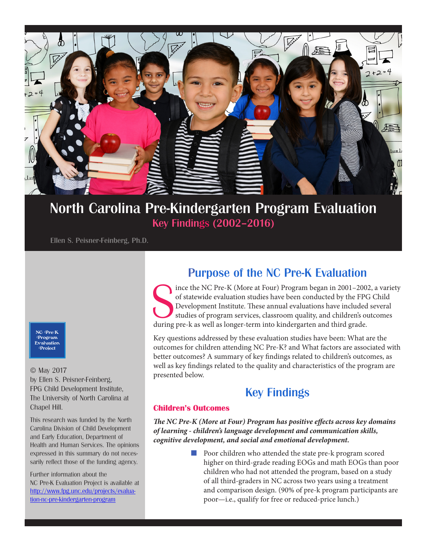

## North Carolina Pre-Kindergarten Program Evaluation Key Findings (2002–2016)

Ellen S. Peisner-Feinberg, Ph.D.

NC Pre-K Program Evaluation Project

© May 2017 by Ellen S. Peisner-Feinberg, FPG Child Development Institute, The University of North Carolina at Chapel Hill.

This research was funded by the North Carolina Division of Child Development and Early Education, Department of Health and Human Services. The opinions expressed in this summary do not necessarily reflect those of the funding agency.

Further information about the NC Pre-K Evaluation Project is available at http://www.fpg.unc.edu/projects/evaluation-nc-pre-kindergarten-program

## Purpose of the NC Pre-K Evaluation

Since the NC Pre-K (More at Four) Program began in 2001–2002<br>of statewide evaluation studies have been conducted by the FPC<br>Development Institute. These annual evaluations have included<br>studies of program services, classro ince the NC Pre-K (More at Four) Program began in 2001–2002, a variety of statewide evaluation studies have been conducted by the FPG Child Development Institute. These annual evaluations have included several studies of program services, classroom quality, and children's outcomes

Key questions addressed by these evaluation studies have been: What are the outcomes for children attending NC Pre-K? and What factors are associated with better outcomes? A summary of key findings related to children's outcomes, as well as key findings related to the quality and characteristics of the program are presented below.

# Key Findings

#### **Children's Outcomes**

*The NC Pre-K (More at Four) Program has positive effects across key domains of learning - children's language development and communication skills, cognitive development, and social and emotional development.*

> ■ Poor children who attended the state pre-k program scored higher on third-grade reading EOGs and math EOGs than poor children who had not attended the program, based on a study of all third-graders in NC across two years using a treatment and comparison design. (90% of pre-k program participants are poor—i.e., qualify for free or reduced-price lunch.)